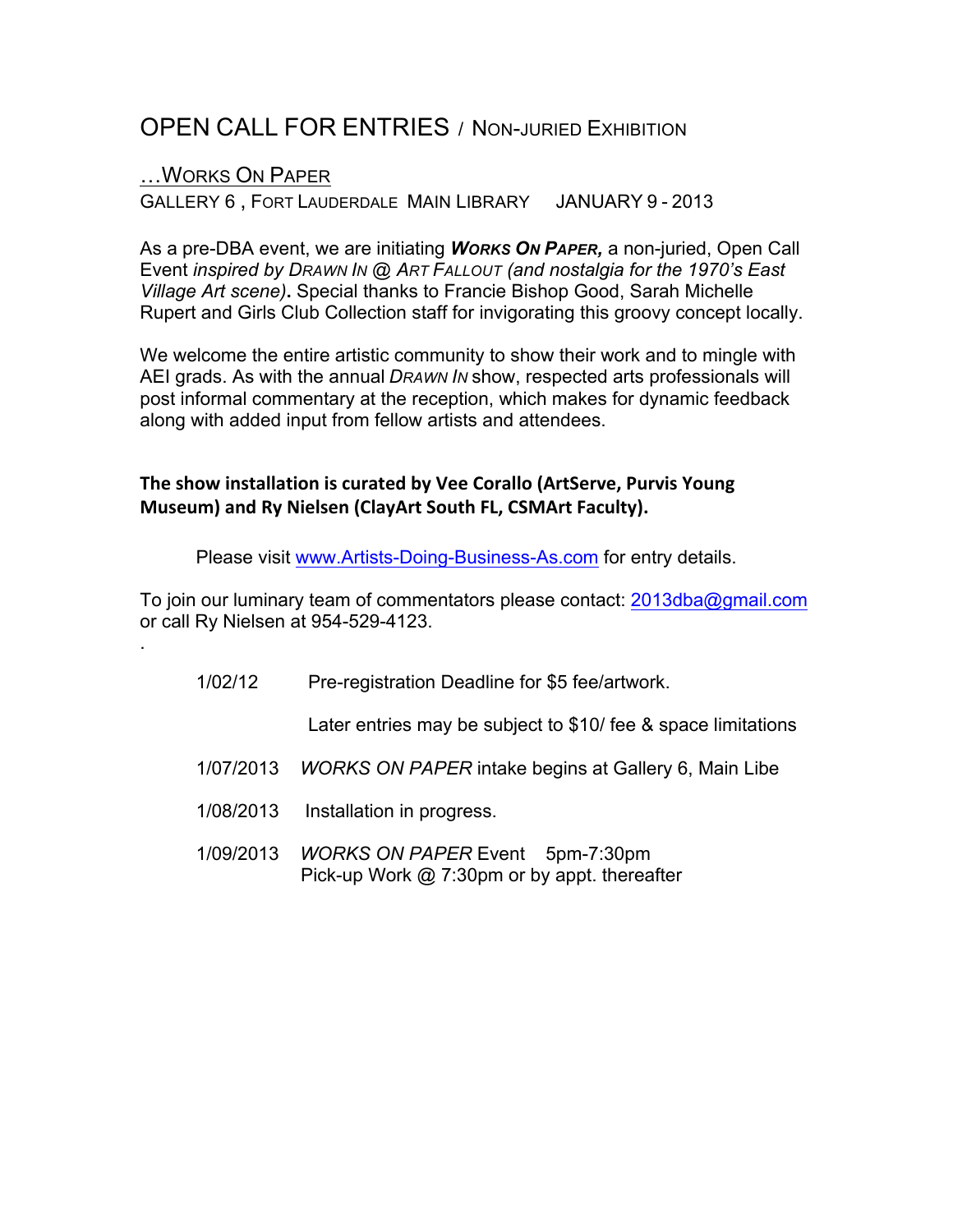# OPEN CALL FOR ENTRIES / NON-JURIED EXHIBITION

#### …WORKS ON PAPER

.

GALLERY 6 , FORT LAUDERDALE MAIN LIBRARY JANUARY 9 - 2013

As a pre-DBA event, we are initiating *WORKS ON PAPER,* a non-juried, Open Call Event *inspired by DRAWN IN @ ART FALLOUT (and nostalgia for the 1970's East Village Art scene)***.** Special thanks to Francie Bishop Good, Sarah Michelle Rupert and Girls Club Collection staff for invigorating this groovy concept locally.

We welcome the entire artistic community to show their work and to mingle with AEI grads. As with the annual *DRAWN IN* show, respected arts professionals will post informal commentary at the reception, which makes for dynamic feedback along with added input from fellow artists and attendees.

### **The show installation is curated by Vee Corallo (ArtServe, Purvis Young Museum) and Ry Nielsen (ClayArt South FL, CSMArt Faculty).**

Please visit www.Artists-Doing-Business-As.com for entry details.

To join our luminary team of commentators please contact: 2013dba@gmail.com or call Ry Nielsen at 954-529-4123.

1/02/12 Pre-registration Deadline for \$5 fee/artwork.

Later entries may be subject to \$10/ fee & space limitations

- 1/07/2013 *WORKS ON PAPER* intake begins at Gallery 6, Main Libe
- 1/08/2013 Installation in progress.
- 1/09/2013 *WORKS ON PAPER* Event 5pm-7:30pm Pick-up Work @ 7:30pm or by appt. thereafter